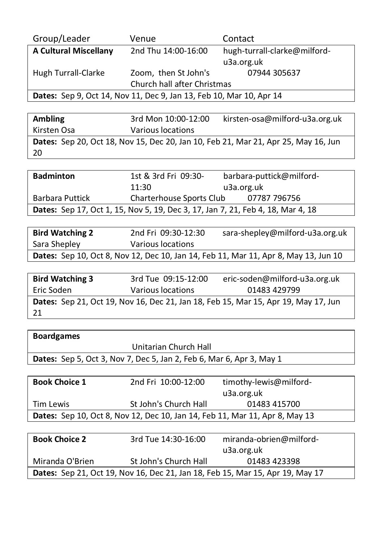| Group/Leader                                                               | Venue                       | Contact                      |
|----------------------------------------------------------------------------|-----------------------------|------------------------------|
| <b>A Cultural Miscellany</b>                                               | 2nd Thu 14:00-16:00         | hugh-turrall-clarke@milford- |
|                                                                            |                             | u3a.org.uk                   |
| Hugh Turrall-Clarke                                                        | Zoom, then St John's        | 07944 305637                 |
|                                                                            | Church hall after Christmas |                              |
| <b>Dates:</b> Sep 9, Oct 14, Nov 11, Dec 9, Jan 13, Feb 10, Mar 10, Apr 14 |                             |                              |

| <b>Ambling</b> | 3rd Mon 10:00-12:00 | kirsten-osa@milford-u3a.org.uk                                                     |
|----------------|---------------------|------------------------------------------------------------------------------------|
| Kirsten Osa    | Various locations   |                                                                                    |
|                |                     | Dates: Sep 20, Oct 18, Nov 15, Dec 20, Jan 10, Feb 21, Mar 21, Apr 25, May 16, Jun |
| -20            |                     |                                                                                    |

| <b>Badminton</b>       | 1st & 3rd Fri 09:30-     | barbara-puttick@milford-                                                               |
|------------------------|--------------------------|----------------------------------------------------------------------------------------|
|                        | 11:30                    | u3a.org.uk                                                                             |
| <b>Barbara Puttick</b> | Charterhouse Sports Club | 07787 796756                                                                           |
|                        |                          | <b>Dates:</b> Sep 17, Oct 1, 15, Nov 5, 19, Dec 3, 17, Jan 7, 21, Feb 4, 18, Mar 4, 18 |

| <b>Bird Watching 2</b> | 2nd Fri 09:30-12:30 | sara-shepley@milford-u3a.org.uk                                                            |
|------------------------|---------------------|--------------------------------------------------------------------------------------------|
| Sara Shepley           | Various locations   |                                                                                            |
|                        |                     | <b>Dates:</b> Sep 10, Oct 8, Nov 12, Dec 10, Jan 14, Feb 11, Mar 11, Apr 8, May 13, Jun 10 |

| <b>Bird Watching 3</b> | 3rd Tue 09:15-12:00 | eric-soden@milford-u3a.org.uk                                                      |
|------------------------|---------------------|------------------------------------------------------------------------------------|
| Eric Soden             | Various locations   | 01483 429799                                                                       |
|                        |                     | Dates: Sep 21, Oct 19, Nov 16, Dec 21, Jan 18, Feb 15, Mar 15, Apr 19, May 17, Jun |
| - 21                   |                     |                                                                                    |

| <b>Boardgames</b>                                                             |                       |                         |
|-------------------------------------------------------------------------------|-----------------------|-------------------------|
|                                                                               | Unitarian Church Hall |                         |
| <b>Dates:</b> Sep 5, Oct 3, Nov 7, Dec 5, Jan 2, Feb 6, Mar 6, Apr 3, May 1   |                       |                         |
|                                                                               |                       |                         |
| <b>Book Choice 1</b>                                                          | 2nd Fri 10:00-12:00   | timothy-lewis@milford-  |
|                                                                               |                       | u3a.org.uk              |
| <b>Tim Lewis</b>                                                              | St John's Church Hall | 01483 415700            |
| Dates: Sep 10, Oct 8, Nov 12, Dec 10, Jan 14, Feb 11, Mar 11, Apr 8, May 13   |                       |                         |
|                                                                               |                       |                         |
| <b>Book Choice 2</b>                                                          | 3rd Tue 14:30-16:00   | miranda-obrien@milford- |
|                                                                               |                       | u3a.org.uk              |
| Miranda O'Brien                                                               | St John's Church Hall | 01483 423398            |
| Dates: Sep 21, Oct 19, Nov 16, Dec 21, Jan 18, Feb 15, Mar 15, Apr 19, May 17 |                       |                         |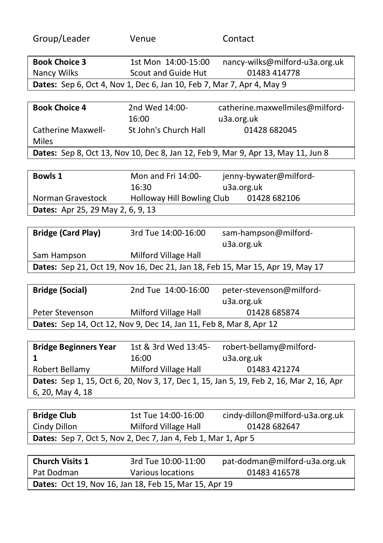| Group/Leader                                                                  | Venue                                                                 | Contact                                                                                 |  |
|-------------------------------------------------------------------------------|-----------------------------------------------------------------------|-----------------------------------------------------------------------------------------|--|
| <b>Book Choice 3</b>                                                          | 1st Mon 14:00-15:00                                                   | nancy-wilks@milford-u3a.org.uk                                                          |  |
| Nancy Wilks                                                                   | Scout and Guide Hut                                                   | 01483 414778                                                                            |  |
|                                                                               |                                                                       |                                                                                         |  |
|                                                                               | Dates: Sep 6, Oct 4, Nov 1, Dec 6, Jan 10, Feb 7, Mar 7, Apr 4, May 9 |                                                                                         |  |
| <b>Book Choice 4</b>                                                          | 2nd Wed 14:00-                                                        | catherine.maxwellmiles@milford-                                                         |  |
|                                                                               |                                                                       |                                                                                         |  |
|                                                                               | 16:00                                                                 | u3a.org.uk                                                                              |  |
| Catherine Maxwell-                                                            | St John's Church Hall                                                 | 01428 682045                                                                            |  |
| <b>Miles</b>                                                                  |                                                                       |                                                                                         |  |
|                                                                               |                                                                       | Dates: Sep 8, Oct 13, Nov 10, Dec 8, Jan 12, Feb 9, Mar 9, Apr 13, May 11, Jun 8        |  |
|                                                                               |                                                                       |                                                                                         |  |
| <b>Bowls 1</b>                                                                | Mon and Fri 14:00-                                                    | jenny-bywater@milford-                                                                  |  |
|                                                                               | 16:30                                                                 | u3a.org.uk                                                                              |  |
| Norman Gravestock                                                             | Holloway Hill Bowling Club                                            | 01428 682106                                                                            |  |
| Dates: Apr 25, 29 May 2, 6, 9, 13                                             |                                                                       |                                                                                         |  |
|                                                                               |                                                                       |                                                                                         |  |
| <b>Bridge (Card Play)</b>                                                     | 3rd Tue 14:00-16:00                                                   | sam-hampson@milford-                                                                    |  |
|                                                                               |                                                                       | u3a.org.uk                                                                              |  |
| Sam Hampson                                                                   | Milford Village Hall                                                  |                                                                                         |  |
| Dates: Sep 21, Oct 19, Nov 16, Dec 21, Jan 18, Feb 15, Mar 15, Apr 19, May 17 |                                                                       |                                                                                         |  |
|                                                                               |                                                                       |                                                                                         |  |
| <b>Bridge (Social)</b>                                                        | 2nd Tue 14:00-16:00                                                   | peter-stevenson@milford-                                                                |  |
|                                                                               |                                                                       | u3a.org.uk                                                                              |  |
| Peter Stevenson                                                               | Milford Village Hall                                                  | 01428 685874                                                                            |  |
|                                                                               | Dates: Sep 14, Oct 12, Nov 9, Dec 14, Jan 11, Feb 8, Mar 8, Apr 12    |                                                                                         |  |
|                                                                               |                                                                       |                                                                                         |  |
| <b>Bridge Beginners Year</b>                                                  |                                                                       | 1st & 3rd Wed 13:45- robert-bellamy@milford-                                            |  |
| 1                                                                             | 16:00                                                                 | u3a.org.uk                                                                              |  |
| Robert Bellamy Milford Village Hall                                           |                                                                       | 01483 421274                                                                            |  |
|                                                                               |                                                                       | Dates: Sep 1, 15, Oct 6, 20, Nov 3, 17, Dec 1, 15, Jan 5, 19, Feb 2, 16, Mar 2, 16, Apr |  |
| 6, 20, May 4, 18                                                              |                                                                       |                                                                                         |  |
|                                                                               |                                                                       |                                                                                         |  |
| <b>Bridge Club</b>                                                            | 1st Tue 14:00-16:00                                                   | cindy-dillon@milford-u3a.org.uk                                                         |  |
| Cindy Dillon                                                                  | Milford Village Hall                                                  | 01428 682647                                                                            |  |
|                                                                               | Dates: Sep 7, Oct 5, Nov 2, Dec 7, Jan 4, Feb 1, Mar 1, Apr 5         |                                                                                         |  |
|                                                                               |                                                                       |                                                                                         |  |
| <b>Church Visits 1</b>                                                        | 3rd Tue 10:00-11:00                                                   | pat-dodman@milford-u3a.org.uk                                                           |  |
| Pat Dodman                                                                    | <b>Various locations</b>                                              | 01483 416578                                                                            |  |
|                                                                               | Dates: Oct 19, Nov 16, Jan 18, Feb 15, Mar 15, Apr 19                 |                                                                                         |  |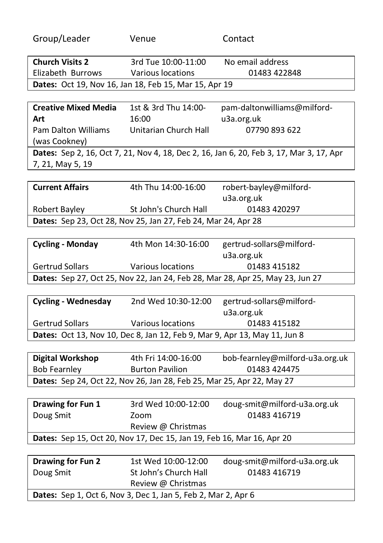| Group/Leader                                                                  | Venue                                                                     | Contact                                                                                 |  |
|-------------------------------------------------------------------------------|---------------------------------------------------------------------------|-----------------------------------------------------------------------------------------|--|
| <b>Church Visits 2</b>                                                        | 3rd Tue 10:00-11:00                                                       | No email address                                                                        |  |
| Elizabeth Burrows Various locations                                           |                                                                           | 01483 422848                                                                            |  |
|                                                                               | Dates: Oct 19, Nov 16, Jan 18, Feb 15, Mar 15, Apr 19                     |                                                                                         |  |
|                                                                               |                                                                           |                                                                                         |  |
| <b>Creative Mixed Media</b>                                                   | 1st & 3rd Thu 14:00-                                                      | pam-daltonwilliams@milford-                                                             |  |
| Art                                                                           | 16:00                                                                     | u3a.org.uk                                                                              |  |
| Pam Dalton Williams                                                           | Unitarian Church Hall                                                     | 07790 893 622                                                                           |  |
| (was Cookney)                                                                 |                                                                           |                                                                                         |  |
|                                                                               |                                                                           | Dates: Sep 2, 16, Oct 7, 21, Nov 4, 18, Dec 2, 16, Jan 6, 20, Feb 3, 17, Mar 3, 17, Apr |  |
| 7, 21, May 5, 19                                                              |                                                                           |                                                                                         |  |
|                                                                               |                                                                           |                                                                                         |  |
| <b>Current Affairs</b>                                                        | 4th Thu 14:00-16:00                                                       | robert-bayley@milford-                                                                  |  |
|                                                                               |                                                                           | u3a.org.uk                                                                              |  |
| Robert Bayley                                                                 | St John's Church Hall                                                     | 01483 420297                                                                            |  |
|                                                                               | Dates: Sep 23, Oct 28, Nov 25, Jan 27, Feb 24, Mar 24, Apr 28             |                                                                                         |  |
|                                                                               |                                                                           |                                                                                         |  |
| <b>Cycling - Monday</b>                                                       | 4th Mon 14:30-16:00                                                       | gertrud-sollars@milford-                                                                |  |
|                                                                               |                                                                           | u3a.org.uk                                                                              |  |
| <b>Gertrud Sollars</b>                                                        | Various locations                                                         | 01483 415182                                                                            |  |
| Dates: Sep 27, Oct 25, Nov 22, Jan 24, Feb 28, Mar 28, Apr 25, May 23, Jun 27 |                                                                           |                                                                                         |  |
|                                                                               |                                                                           |                                                                                         |  |
|                                                                               | Cycling - Wednesday 2nd Wed 10:30-12:00                                   | gertrud-sollars@milford-                                                                |  |
|                                                                               |                                                                           | u3a.org.uk                                                                              |  |
| <b>Gertrud Sollars</b>                                                        | Various locations                                                         | 01483 415182                                                                            |  |
|                                                                               | Dates: Oct 13, Nov 10, Dec 8, Jan 12, Feb 9, Mar 9, Apr 13, May 11, Jun 8 |                                                                                         |  |
|                                                                               |                                                                           |                                                                                         |  |
| <b>Digital Workshop</b>                                                       | 4th Fri 14:00-16:00                                                       | bob-fearnley@milford-u3a.org.uk                                                         |  |
| Bob Fearnley                                                                  | <b>Burton Pavilion</b>                                                    | 01483 424475                                                                            |  |
|                                                                               | Dates: Sep 24, Oct 22, Nov 26, Jan 28, Feb 25, Mar 25, Apr 22, May 27     |                                                                                         |  |
|                                                                               |                                                                           |                                                                                         |  |
| Drawing for Fun 1                                                             | 3rd Wed 10:00-12:00                                                       | doug-smit@milford-u3a.org.uk                                                            |  |
| Doug Smit                                                                     | Zoom                                                                      | 01483 416719                                                                            |  |
|                                                                               | Review @ Christmas                                                        |                                                                                         |  |
|                                                                               | Dates: Sep 15, Oct 20, Nov 17, Dec 15, Jan 19, Feb 16, Mar 16, Apr 20     |                                                                                         |  |
|                                                                               |                                                                           |                                                                                         |  |
| Drawing for Fun 2                                                             | 1st Wed 10:00-12:00                                                       | doug-smit@milford-u3a.org.uk                                                            |  |
| Doug Smit                                                                     | St John's Church Hall                                                     | 01483 416719                                                                            |  |
|                                                                               | Review @ Christmas                                                        |                                                                                         |  |
| Dates: Sep 1, Oct 6, Nov 3, Dec 1, Jan 5, Feb 2, Mar 2, Apr 6                 |                                                                           |                                                                                         |  |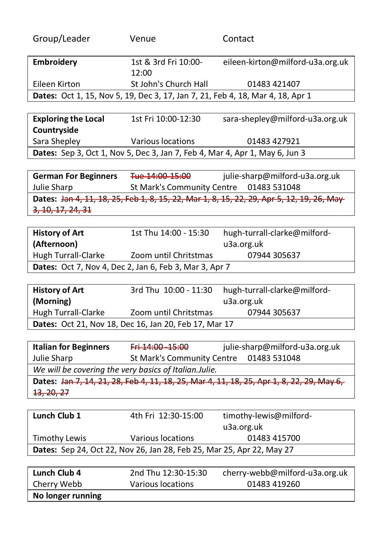| Group/Leader      | Venue                         | Contact                                                                        |
|-------------------|-------------------------------|--------------------------------------------------------------------------------|
| <b>Embroidery</b> | 1st & 3rd Fri 10:00-<br>12:00 | eileen-kirton@milford-u3a.org.uk                                               |
| Eileen Kirton     | St John's Church Hall         | 01483 421407                                                                   |
|                   |                               | Dates: Oct 1, 15, Nov 5, 19, Dec 3, 17, Jan 7, 21, Feb 4, 18, Mar 4, 18, Apr 1 |
|                   |                               |                                                                                |
|                   |                               |                                                                                |

| <b>Exploring the Local</b>                                                  | 1st Fri 10:00-12:30 | sara-shepley@milford-u3a.org.uk |
|-----------------------------------------------------------------------------|---------------------|---------------------------------|
| Countryside                                                                 |                     |                                 |
| Sara Shepley                                                                | Various locations   | 01483 427921                    |
| Dates: Sep 3, Oct 1, Nov 5, Dec 3, Jan 7, Feb 4, Mar 4, Apr 1, May 6, Jun 3 |                     |                                 |

German For Beginners Tue 14:00 15:00 julie-sharp@milford-u3a.org.uk Julie Sharp St Mark's Community Centre 01483 531048 Dates: Jan 4, 11, 18, 25, Feb 1, 8, 15, 22, Mar 1, 8, 15, 22, 29, Apr 5, 12, 19, 26, May-3, 10, 17, 24, 31

| <b>History of Art</b>                                         | 1st Thu 14:00 - 15:30 | hugh-turrall-clarke@milford- |
|---------------------------------------------------------------|-----------------------|------------------------------|
| (Afternoon)                                                   |                       | u3a.org.uk                   |
| Hugh Turrall-Clarke                                           | Zoom until Chritstmas | 07944 305637                 |
| <b>Dates:</b> Oct 7, Nov 4, Dec 2, Jan 6, Feb 3, Mar 3, Apr 7 |                       |                              |

| <b>History of Art</b>                                        |                       | 3rd Thu 10:00 - 11:30 hugh-turrall-clarke@milford- |
|--------------------------------------------------------------|-----------------------|----------------------------------------------------|
| (Morning)                                                    |                       | u3a.org.uk                                         |
| Hugh Turrall-Clarke                                          | Zoom until Chritstmas | 07944 305637                                       |
| <b>Dates:</b> Oct 21, Nov 18, Dec 16, Jan 20, Feb 17, Mar 17 |                       |                                                    |

| <b>Italian for Beginners</b>                           | Fri 14:00 15:00                         | julie-sharp@milford-u3a.org.uk                                                                      |
|--------------------------------------------------------|-----------------------------------------|-----------------------------------------------------------------------------------------------------|
| Julie Sharp                                            | St Mark's Community Centre 01483 531048 |                                                                                                     |
| We will be covering the very basics of Italian. Julie. |                                         |                                                                                                     |
|                                                        |                                         | Dates: <del>Jan 7, 14, 21, 28, Feb 4, 11, 18, 25, Mar 4, 11, 18, 25, Apr 1, 8, 22, 29, May 6,</del> |
| <del>13, 20, 27</del>                                  |                                         |                                                                                                     |

| Lunch Club 1         | 4th Fri 12:30-15:00                                                   | timothy-lewis@milford-         |
|----------------------|-----------------------------------------------------------------------|--------------------------------|
|                      |                                                                       |                                |
|                      |                                                                       | u3a.org.uk                     |
| <b>Timothy Lewis</b> | Various locations                                                     | 01483 415700                   |
|                      | Dates: Sep 24, Oct 22, Nov 26, Jan 28, Feb 25, Mar 25, Apr 22, May 27 |                                |
|                      |                                                                       |                                |
| Lunch Club 4         | 2nd Thu 12:30-15:30                                                   | cherry-webb@milford-u3a.org.uk |
| Cherry Webb          | Various locations                                                     | 01483 419260                   |

No longer running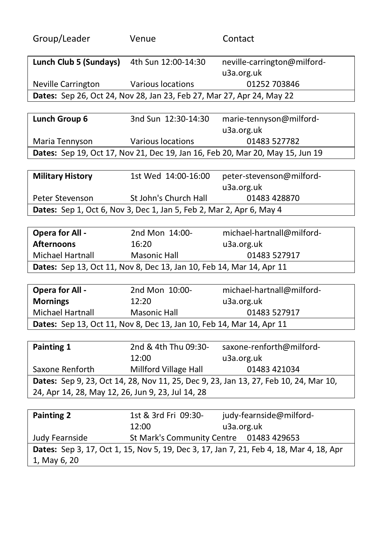| Group/Leader                                                          | Venue                                   | Contact                                                                                 |
|-----------------------------------------------------------------------|-----------------------------------------|-----------------------------------------------------------------------------------------|
|                                                                       |                                         |                                                                                         |
| Lunch Club 5 (Sundays) 4th Sun $12:00-14:30$                          |                                         | neville-carrington@milford-                                                             |
|                                                                       |                                         | u3a.org.uk                                                                              |
| Neville Carrington                                                    | Various locations                       | 01252 703846                                                                            |
| Dates: Sep 26, Oct 24, Nov 28, Jan 23, Feb 27, Mar 27, Apr 24, May 22 |                                         |                                                                                         |
| Lunch Group 6                                                         | 3nd Sun 12:30-14:30                     | marie-tennyson@milford-                                                                 |
|                                                                       |                                         | u3a.org.uk                                                                              |
| Maria Tennyson                                                        | Various locations                       | 01483 527782                                                                            |
|                                                                       |                                         | Dates: Sep 19, Oct 17, Nov 21, Dec 19, Jan 16, Feb 20, Mar 20, May 15, Jun 19           |
|                                                                       |                                         |                                                                                         |
| <b>Military History</b>                                               | 1st Wed 14:00-16:00                     | peter-stevenson@milford-                                                                |
|                                                                       |                                         | u3a.org.uk                                                                              |
| Peter Stevenson                                                       | St John's Church Hall                   | 01483 428870                                                                            |
| Dates: Sep 1, Oct 6, Nov 3, Dec 1, Jan 5, Feb 2, Mar 2, Apr 6, May 4  |                                         |                                                                                         |
|                                                                       |                                         |                                                                                         |
| <b>Opera for All -</b>                                                | 2nd Mon 14:00-                          | michael-hartnall@milford-                                                               |
| <b>Afternoons</b>                                                     | 16:20                                   | u3a.org.uk                                                                              |
| Michael Hartnall                                                      | <b>Masonic Hall</b>                     | 01483 527917                                                                            |
| Dates: Sep 13, Oct 11, Nov 8, Dec 13, Jan 10, Feb 14, Mar 14, Apr 11  |                                         |                                                                                         |
|                                                                       |                                         |                                                                                         |
| <b>Opera for All -</b>                                                | 2nd Mon 10:00-                          | michael-hartnall@milford-                                                               |
| <b>Mornings</b>                                                       | 12:20                                   | u3a.org.uk                                                                              |
| Michael Hartnall                                                      | <b>Masonic Hall</b>                     | 01483 527917                                                                            |
| Dates: Sep 13, Oct 11, Nov 8, Dec 13, Jan 10, Feb 14, Mar 14, Apr 11  |                                         |                                                                                         |
|                                                                       |                                         |                                                                                         |
| Painting 1                                                            | 2nd & 4th Thu 09:30-                    | saxone-renforth@milford-                                                                |
|                                                                       | 12:00                                   | u3a.org.uk                                                                              |
| Saxone Renforth                                                       | Millford Village Hall                   | 01483 421034                                                                            |
|                                                                       |                                         | Dates: Sep 9, 23, Oct 14, 28, Nov 11, 25, Dec 9, 23, Jan 13, 27, Feb 10, 24, Mar 10,    |
| 24, Apr 14, 28, May 12, 26, Jun 9, 23, Jul 14, 28                     |                                         |                                                                                         |
|                                                                       |                                         |                                                                                         |
| <b>Painting 2</b>                                                     | 1st & 3rd Fri 09:30-<br>12:00           | judy-fearnside@milford-                                                                 |
|                                                                       |                                         | u3a.org.uk                                                                              |
| Judy Fearnside                                                        | St Mark's Community Centre 01483 429653 |                                                                                         |
| 1, May 6, 20                                                          |                                         | Dates: Sep 3, 17, Oct 1, 15, Nov 5, 19, Dec 3, 17, Jan 7, 21, Feb 4, 18, Mar 4, 18, Apr |
|                                                                       |                                         |                                                                                         |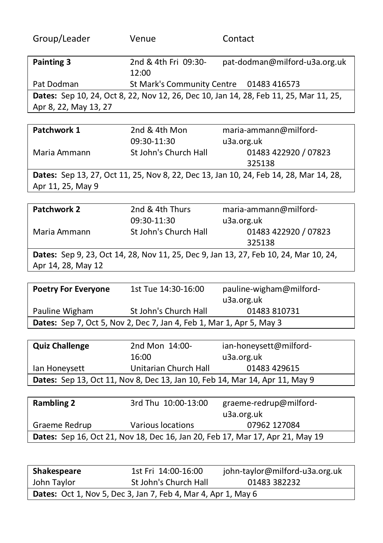| Group/Leader          | Venue                                   | Contact                                                                               |
|-----------------------|-----------------------------------------|---------------------------------------------------------------------------------------|
| Painting 3            | 2nd & 4th Fri 09:30-                    | pat-dodman@milford-u3a.org.uk                                                         |
|                       | 12:00                                   |                                                                                       |
| Pat Dodman            | St Mark's Community Centre 01483 416573 |                                                                                       |
|                       |                                         | Dates: Sep 10, 24, Oct 8, 22, Nov 12, 26, Dec 10, Jan 14, 28, Feb 11, 25, Mar 11, 25, |
| Apr 8, 22, May 13, 27 |                                         |                                                                                       |

| Patchwork 1                                                                           | 2nd & 4th Mon<br>09:30-11:30 | maria-ammann@milford-<br>u3a.org.uk |
|---------------------------------------------------------------------------------------|------------------------------|-------------------------------------|
| Maria Ammann                                                                          | St John's Church Hall        | 01483 422920 / 07823<br>325138      |
| Dates: Sep 13, 27, Oct 11, 25, Nov 8, 22, Dec 13, Jan 10, 24, Feb 14, 28, Mar 14, 28, |                              |                                     |
| Apr 11, 25, May 9                                                                     |                              |                                     |

| Patchwork 2        | 2nd & 4th Thurs       | maria-ammann@milford-                                                                |
|--------------------|-----------------------|--------------------------------------------------------------------------------------|
|                    | 09:30-11:30           | u3a.org.uk                                                                           |
| Maria Ammann       | St John's Church Hall | 01483 422920 / 07823                                                                 |
|                    |                       | 325138                                                                               |
|                    |                       | Dates: Sep 9, 23, Oct 14, 28, Nov 11, 25, Dec 9, Jan 13, 27, Feb 10, 24, Mar 10, 24, |
| Apr 14, 28, May 12 |                       |                                                                                      |

| <b>Poetry For Everyone</b>                                                  | 1st Tue 14:30-16:00   | pauline-wigham@milford- |
|-----------------------------------------------------------------------------|-----------------------|-------------------------|
|                                                                             |                       | u3a.org.uk              |
| Pauline Wigham                                                              | St John's Church Hall | 01483 810731            |
| <b>Dates:</b> Sep 7, Oct 5, Nov 2, Dec 7, Jan 4, Feb 1, Mar 1, Apr 5, May 3 |                       |                         |

| <b>Quiz Challenge</b> | 2nd Mon 14:00-        | ian-honeysett@milford-                                                             |
|-----------------------|-----------------------|------------------------------------------------------------------------------------|
|                       | 16:00                 | u3a.org.uk                                                                         |
| lan Honeysett         | Unitarian Church Hall | 01483 429615                                                                       |
|                       |                       | <b>Dates:</b> Sep 13, Oct 11, Nov 8, Dec 13, Jan 10, Feb 14, Mar 14, Apr 11, May 9 |

| <b>Rambling 2</b> | 3rd Thu 10:00-13:00 | graeme-redrup@milford-                                                               |
|-------------------|---------------------|--------------------------------------------------------------------------------------|
|                   |                     | u3a.org.uk                                                                           |
| Graeme Redrup     | Various locations   | 07962 127084                                                                         |
|                   |                     | <b>Dates:</b> Sep 16, Oct 21, Nov 18, Dec 16, Jan 20, Feb 17, Mar 17, Apr 21, May 19 |
|                   |                     |                                                                                      |

| Shakespeare | 1st Fri 14:00-16:00                                                  | john-taylor@milford-u3a.org.uk |
|-------------|----------------------------------------------------------------------|--------------------------------|
| John Taylor | St John's Church Hall                                                | 01483 382232                   |
|             | <b>Dates:</b> Oct 1, Nov 5, Dec 3, Jan 7, Feb 4, Mar 4, Apr 1, May 6 |                                |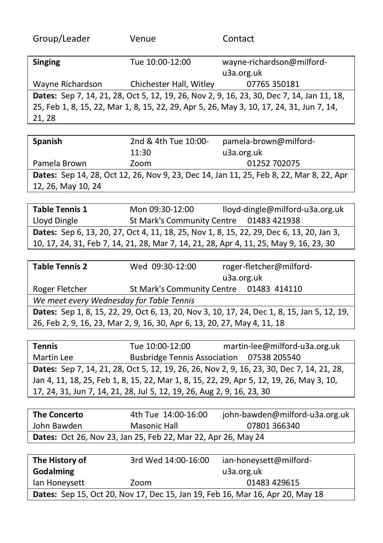| Venue                   | Contact                                                                                   |
|-------------------------|-------------------------------------------------------------------------------------------|
| Tue 10:00-12:00         | wayne-richardson@milford-                                                                 |
|                         | u3a.org.uk                                                                                |
| Chichester Hall, Witley | 07765 350181                                                                              |
|                         | Dates: Sep 7, 14, 21, 28, Oct 5, 12, 19, 26, Nov 2, 9, 16, 23, 30, Dec 7, 14, Jan 11, 18, |
|                         | 25, Feb 1, 8, 15, 22, Mar 1, 8, 15, 22, 29, Apr 5, 26, May 3, 10, 17, 24, 31, Jun 7, 14,  |
|                         |                                                                                           |
|                         |                                                                                           |

| <b>Spanish</b>     | 2nd & 4th Tue 10:00- | pamela-brown@milford-                                                                   |
|--------------------|----------------------|-----------------------------------------------------------------------------------------|
|                    | 11:30                | u3a.org.uk                                                                              |
| Pamela Brown       | Zoom                 | 01252 702075                                                                            |
|                    |                      | Dates: Sep 14, 28, Oct 12, 26, Nov 9, 23, Dec 14, Jan 11, 25, Feb 8, 22, Mar 8, 22, Apr |
| 12, 26, May 10, 24 |                      |                                                                                         |

| Table Tennis 1                                                                                  | Mon 09:30-12:00 | lloyd-dingle@milford-u3a.org.uk         |
|-------------------------------------------------------------------------------------------------|-----------------|-----------------------------------------|
| Lloyd Dingle                                                                                    |                 | St Mark's Community Centre 01483 421938 |
| <b>Dates:</b> Sep 6, 13, 20, 27, Oct 4, 11, 18, 25, Nov 1, 8, 15, 22, 29, Dec 6, 13, 20, Jan 3, |                 |                                         |
| 10, 17, 24, 31, Feb 7, 14, 21, 28, Mar 7, 14, 21, 28, Apr 4, 11, 25, May 9, 16, 23, 30          |                 |                                         |

| <b>Table Tennis 2</b>                                                                       | Wed 09:30-12:00                          |  | roger-fletcher@milford- |
|---------------------------------------------------------------------------------------------|------------------------------------------|--|-------------------------|
|                                                                                             |                                          |  | u3a.org.uk              |
| Roger Fletcher                                                                              | St Mark's Community Centre 01483 414110  |  |                         |
|                                                                                             | We meet every Wednesday for Table Tennis |  |                         |
| Dates: Sep 1, 8, 15, 22, 29, Oct 6, 13, 20, Nov 3, 10, 17, 24, Dec 1, 8, 15, Jan 5, 12, 19, |                                          |  |                         |
| 26, Feb 2, 9, 16, 23, Mar 2, 9, 16, 30, Apr 6, 13, 20, 27, May 4, 11, 18                    |                                          |  |                         |

| <b>Tennis</b>                                                          | Tue 10:00-12:00 | martin-lee@milford-u3a.org.uk                                                             |
|------------------------------------------------------------------------|-----------------|-------------------------------------------------------------------------------------------|
| Martin Lee                                                             |                 | Busbridge Tennis Association 07538 205540                                                 |
|                                                                        |                 | Dates: Sep 7, 14, 21, 28, Oct 5, 12, 19, 26, 26, Nov 2, 9, 16, 23, 30, Dec 7, 14, 21, 28, |
|                                                                        |                 | Jan 4, 11, 18, 25, Feb 1, 8, 15, 22, Mar 1, 8, 15, 22, 29, Apr 5, 12, 19, 26, May 3, 10,  |
| 17, 24, 31, Jun 7, 14, 21, 28, Jul 5, 12, 19, 26, Aug 2, 9, 16, 23, 30 |                 |                                                                                           |

| <b>The Concerto</b>                                                  | 4th Tue 14:00-16:00 | john-bawden@milford-u3a.org.uk |
|----------------------------------------------------------------------|---------------------|--------------------------------|
| John Bawden                                                          | Masonic Hall        | 07801 366340                   |
| <b>Dates:</b> Oct 26, Nov 23, Jan 25, Feb 22, Mar 22, Apr 26, May 24 |                     |                                |

| The History of                                                                       | 3rd Wed 14:00-16:00 | ian-honeysett@milford- |
|--------------------------------------------------------------------------------------|---------------------|------------------------|
| Godalming                                                                            |                     | u3a.org.uk             |
| lan Honeysett                                                                        | Zoom                | 01483 429615           |
| <b>Dates:</b> Sep 15, Oct 20, Nov 17, Dec 15, Jan 19, Feb 16, Mar 16, Apr 20, May 18 |                     |                        |